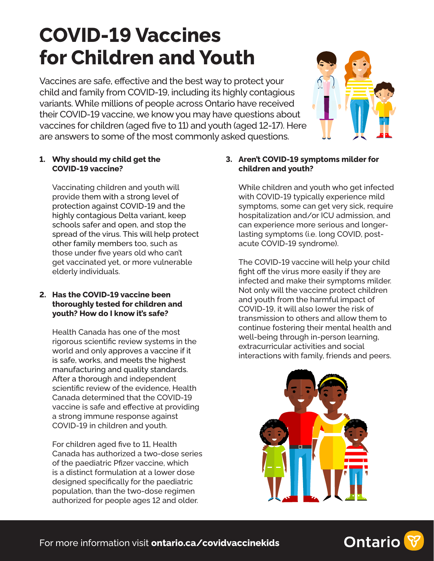# **COVID-19 Vaccines for Children and Youth**

Vaccines are safe, effective and the best way to protect your child and family from COVID-19, including its highly contagious variants. While millions of people across Ontario have received their COVID-19 vaccine, we know you may have questions about vaccines for children (aged fve to 11) and youth (aged 12-17). Here are answers to some of the most commonly asked questions.



# **1. Why should my child get the COVID-19 vaccine?**

Vaccinating children and youth will provide them with a strong level of protection against COVID-19 and the highly contagious Delta variant, keep schools safer and open, and stop the spread of the virus. This will help protect other family members too, such as those under fve years old who can't get vaccinated yet, or more vulnerable elderly individuals.

## **2. Has the COVID-19 vaccine been thoroughly tested for children and youth? How do I know it's safe?**

Health Canada has one of the most rigorous scientifc review systems in the world and only approves a vaccine if it is safe, works, and meets the highest manufacturing and quality standards. After a thorough and independent scientifc review of the evidence, Health Canada determined that the COVID-19 vaccine is safe and efective at providing a strong immune response against COVID-19 in children and youth.

For children aged fve to 11, Health Canada has authorized a two-dose series of the paediatric Pfzer vaccine, which is a distinct formulation at a lower dose designed specifcally for the paediatric population, than the two-dose regimen authorized for people ages 12 and older.

# **3. Aren't COVID-19 symptoms milder for children and youth?**

While children and youth who get infected with COVID-19 typically experience mild symptoms, some can get very sick, require hospitalization and/or ICU admission, and can experience more serious and longerlasting symptoms (i.e. long COVID, postacute COVID-19 syndrome).

The COVID-19 vaccine will help your child fight off the virus more easily if they are infected and make their symptoms milder. Not only will the vaccine protect children and youth from the harmful impact of COVID-19, it will also lower the risk of transmission to others and allow them to continue fostering their mental health and well-being through in-person learning, extracurricular activities and social interactions with family, friends and peers.



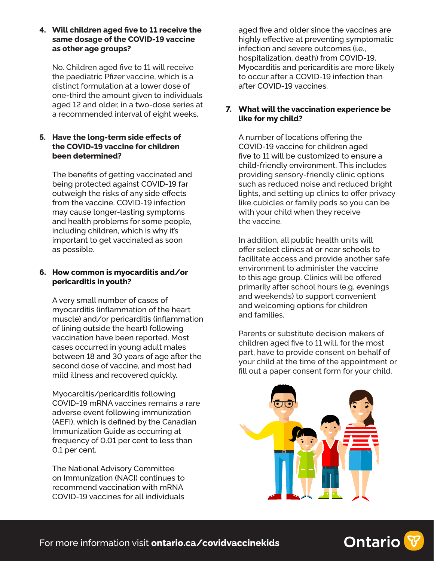**4. Will children aged fve to 11 receive the same dosage of the COVID-19 vaccine as other age groups?** 

No. Children aged fve to 11 will receive the paediatric Pfzer vaccine, which is a distinct formulation at a lower dose of one-third the amount given to individuals aged 12 and older, in a two-dose series at a recommended interval of eight weeks.

## **5. Have the long-term side efects of the COVID-19 vaccine for children been determined?**

The benefts of getting vaccinated and being protected against COVID-19 far outweigh the risks of any side efects from the vaccine. COVID-19 infection may cause longer-lasting symptoms and health problems for some people, including children, which is why it's important to get vaccinated as soon as possible.

## **6. How common is myocarditis and/or pericarditis in youth?**

A very small number of cases of myocarditis (infammation of the heart muscle) and/or pericarditis (infammation of lining outside the heart) following vaccination have been reported. Most cases occurred in young adult males between 18 and 30 years of age after the second dose of vaccine, and most had mild illness and recovered quickly.

Myocarditis/pericarditis following COVID-19 mRNA vaccines remains a rare adverse event following immunization (AEFI), which is defned by the Canadian Immunization Guide as occurring at frequency of 0.01 per cent to less than 0.1 per cent.

The National Advisory Committee on Immunization (NACI) continues to recommend vaccination with mRNA COVID-19 vaccines for all individuals

aged fve and older since the vaccines are highly efective at preventing symptomatic infection and severe outcomes (i.e., hospitalization, death) from COVID-19. Myocarditis and pericarditis are more likely to occur after a COVID-19 infection than after COVID-19 vaccines.

# **7. What will the vaccination experience be like for my child?**

A number of locations ofering the COVID-19 vaccine for children aged fve to 11 will be customized to ensure a child-friendly environment. This includes providing sensory-friendly clinic options such as reduced noise and reduced bright lights, and setting up clinics to offer privacy like cubicles or family pods so you can be with your child when they receive the vaccine.

In addition, all public health units will ofer select clinics at or near schools to facilitate access and provide another safe environment to administer the vaccine to this age group. Clinics will be ofered primarily after school hours (e.g. evenings and weekends) to support convenient and welcoming options for children and families.

Parents or substitute decision makers of children aged fve to 11 will, for the most part, have to provide consent on behalf of your child at the time of the appointment or fll out a paper consent form for your child.